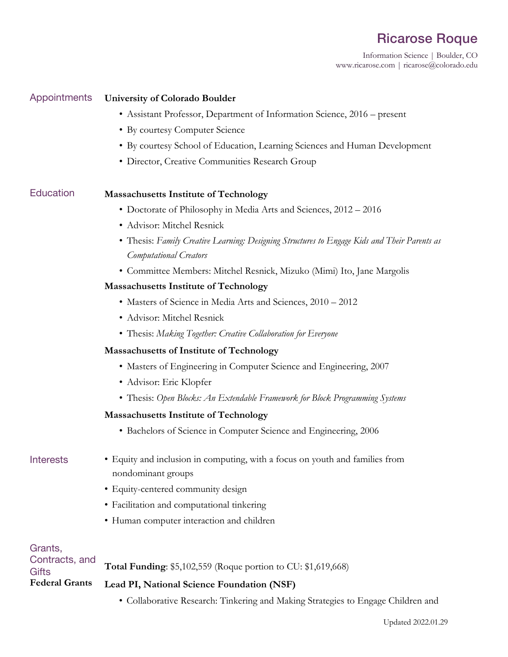# Ricarose Roque

Information Science | Boulder, CO www.ricarose.com | ricarose@colorado.edu

## Appointments **University of Colorado Boulder**

- Assistant Professor, Department of Information Science, 2016 present
- By courtesy Computer Science
- By courtesy School of Education, Learning Sciences and Human Development
- Director, Creative Communities Research Group

## Education **Massachusetts Institute of Technology**

- Doctorate of Philosophy in Media Arts and Sciences, 2012 2016
- Advisor: Mitchel Resnick
- Thesis: *Family Creative Learning: Designing Structures to Engage Kids and Their Parents as Computational Creators*
- Committee Members: Mitchel Resnick, Mizuko (Mimi) Ito, Jane Margolis

## **Massachusetts Institute of Technology**

- Masters of Science in Media Arts and Sciences, 2010 2012
- Advisor: Mitchel Resnick
- Thesis: *Making Together: Creative Collaboration for Everyone*

## **Massachusetts of Institute of Technology**

- Masters of Engineering in Computer Science and Engineering, 2007
- Advisor: Eric Klopfer
- Thesis: *Open Blocks: An Extendable Framework for Block Programming Systems*

## **Massachusetts Institute of Technology**

• Bachelors of Science in Computer Science and Engineering, 2006

- Interests Equity and inclusion in computing, with a focus on youth and families from nondominant groups
	- Equity-centered community design
	- Facilitation and computational tinkering
	- Human computer interaction and children

| Grants,                        |                                                               |
|--------------------------------|---------------------------------------------------------------|
| Contracts, and<br><b>Gifts</b> | Total Funding: \$5,102,559 (Roque portion to CU: \$1,619,668) |
| <b>Federal Grants</b>          | Lead PI, National Science Foundation (NSF)                    |

• Collaborative Research: Tinkering and Making Strategies to Engage Children and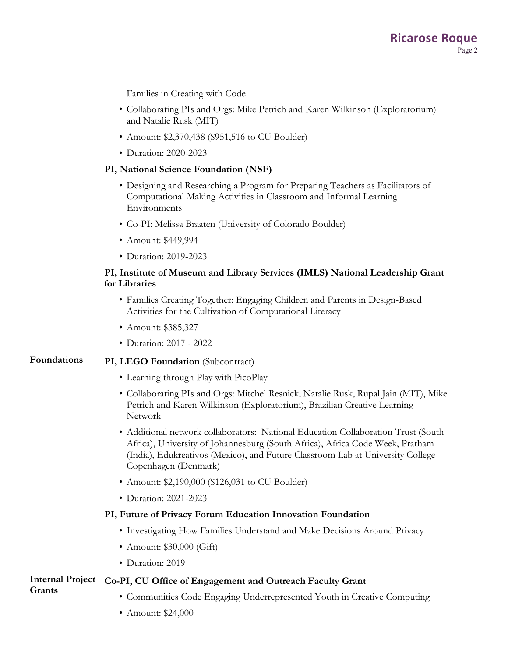Families in Creating with Code

- Collaborating PIs and Orgs: Mike Petrich and Karen Wilkinson (Exploratorium) and Natalie Rusk (MIT)
- Amount: \$2,370,438 (\$951,516 to CU Boulder)
- Duration: 2020-2023

## **PI, National Science Foundation (NSF)**

- Designing and Researching a Program for Preparing Teachers as Facilitators of Computational Making Activities in Classroom and Informal Learning Environments
- Co-PI: Melissa Braaten (University of Colorado Boulder)
- Amount: \$449,994
- Duration: 2019-2023

## **PI, Institute of Museum and Library Services (IMLS) National Leadership Grant for Libraries**

- Families Creating Together: Engaging Children and Parents in Design-Based Activities for the Cultivation of Computational Literacy
- Amount: \$385,327
- Duration: 2017 2022

## **Foundations PI, LEGO Foundation** (Subcontract)

- Learning through Play with PicoPlay
- Collaborating PIs and Orgs: Mitchel Resnick, Natalie Rusk, Rupal Jain (MIT), Mike Petrich and Karen Wilkinson (Exploratorium), Brazilian Creative Learning Network
- Additional network collaborators: National Education Collaboration Trust (South Africa), University of Johannesburg (South Africa), Africa Code Week, Pratham (India), Edukreativos (Mexico), and Future Classroom Lab at University College Copenhagen (Denmark)
- Amount: \$2,190,000 (\$126,031 to CU Boulder)
- Duration: 2021-2023

## **PI, Future of Privacy Forum Education Innovation Foundation**

- Investigating How Families Understand and Make Decisions Around Privacy
- Amount: \$30,000 (Gift)
- Duration: 2019

### **Internal Project Co-PI, CU Office of Engagement and Outreach Faculty Grant Grants**

- Communities Code Engaging Underrepresented Youth in Creative Computing
- Amount: \$24,000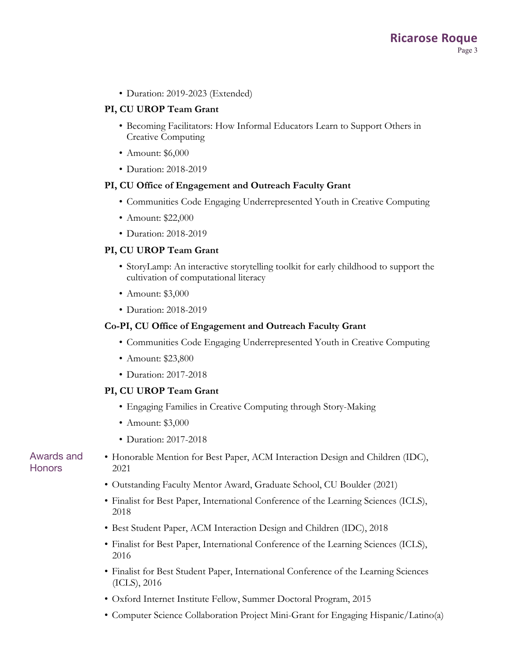• Duration: 2019-2023 (Extended)

## **PI, CU UROP Team Grant**

- Becoming Facilitators: How Informal Educators Learn to Support Others in Creative Computing
- Amount: \$6,000
- Duration: 2018-2019

## **PI, CU Office of Engagement and Outreach Faculty Grant**

- Communities Code Engaging Underrepresented Youth in Creative Computing
- Amount: \$22,000
- Duration: 2018-2019

## **PI, CU UROP Team Grant**

- StoryLamp: An interactive storytelling toolkit for early childhood to support the cultivation of computational literacy
- Amount: \$3,000
- Duration: 2018-2019

## **Co-PI, CU Office of Engagement and Outreach Faculty Grant**

- Communities Code Engaging Underrepresented Youth in Creative Computing
- Amount: \$23,800
- Duration: 2017-2018

## **PI, CU UROP Team Grant**

- Engaging Families in Creative Computing through Story-Making
- Amount: \$3,000
- Duration: 2017-2018

## Awards and **Honors**

- Honorable Mention for Best Paper, ACM Interaction Design and Children (IDC), 2021
- Outstanding Faculty Mentor Award, Graduate School, CU Boulder (2021)
- Finalist for Best Paper, International Conference of the Learning Sciences (ICLS), 2018
- Best Student Paper, ACM Interaction Design and Children (IDC), 2018
- Finalist for Best Paper, International Conference of the Learning Sciences (ICLS), 2016
- Finalist for Best Student Paper, International Conference of the Learning Sciences (ICLS), 2016
- Oxford Internet Institute Fellow, Summer Doctoral Program, 2015
- Computer Science Collaboration Project Mini-Grant for Engaging Hispanic/Latino(a)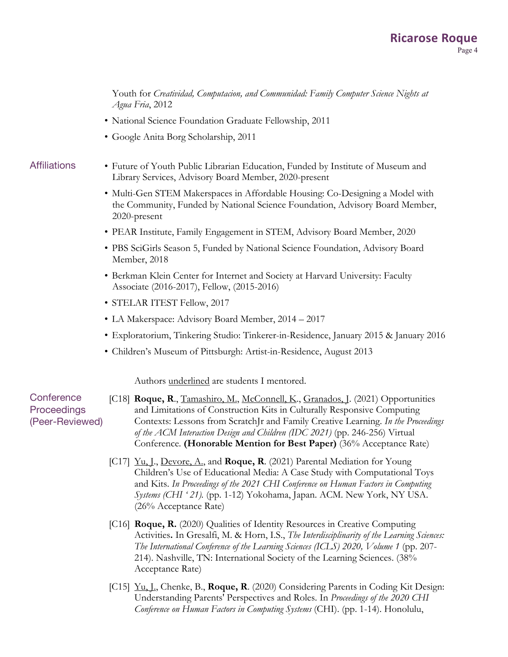Youth for *Creatividad, Computacion, and Communidad: Family Computer Science Nights at Agua Fria*, 2012

- National Science Foundation Graduate Fellowship, 2011
- Google Anita Borg Scholarship, 2011

- Affiliations Future of Youth Public Librarian Education, Funded by Institute of Museum and Library Services, Advisory Board Member, 2020-present
	- Multi-Gen STEM Makerspaces in Affordable Housing: Co-Designing a Model with the Community, Funded by National Science Foundation, Advisory Board Member, 2020-present
	- PEAR Institute, Family Engagement in STEM, Advisory Board Member, 2020
	- PBS SciGirls Season 5, Funded by National Science Foundation, Advisory Board Member, 2018
	- Berkman Klein Center for Internet and Society at Harvard University: Faculty Associate (2016-2017), Fellow, (2015-2016)
	- STELAR ITEST Fellow, 2017
	- LA Makerspace: Advisory Board Member, 2014 2017
	- Exploratorium, Tinkering Studio: Tinkerer-in-Residence, January 2015 & January 2016
	- Children's Museum of Pittsburgh: Artist-in-Residence, August 2013

Authors underlined are students I mentored.

**Conference Proceedings** (Peer-Reviewed) [C18] **Roque, R**., Tamashiro, M., McConnell, K., Granados, J. (2021) Opportunities and Limitations of Construction Kits in Culturally Responsive Computing Contexts: Lessons from ScratchJr and Family Creative Learning. *In the Proceedings of the ACM Interaction Design and Children (IDC 2021)* (pp. 246-256) Virtual Conference*.* **(Honorable Mention for Best Paper)** (36% Acceptance Rate)

- [C17] Yu, J., Devore, A., and **Roque, R**. (2021) Parental Mediation for Young Children's Use of Educational Media: A Case Study with Computational Toys and Kits. *In Proceedings of the 2021 CHI Conference on Human Factors in Computing Systems (CHI ' 21).* (pp. 1-12) Yokohama, Japan. ACM. New York, NY USA. (26% Acceptance Rate)
- [C16] **Roque, R.** (2020) Qualities of Identity Resources in Creative Computing Activities**.** In Gresalfi, M. & Horn, I.S., *The Interdisciplinarity of the Learning Sciences: The International Conference of the Learning Sciences (ICLS) 2020, Volume 1 (pp. 207-*214). Nashville, TN: International Society of the Learning Sciences. (38% Acceptance Rate)
- [C15] Yu, J., Chenke, B., **Roque, R**. (2020) Considering Parents in Coding Kit Design: Understanding Parents' Perspectives and Roles. In *Proceedings of the 2020 CHI Conference on Human Factors in Computing Systems* (CHI). (pp. 1-14). Honolulu,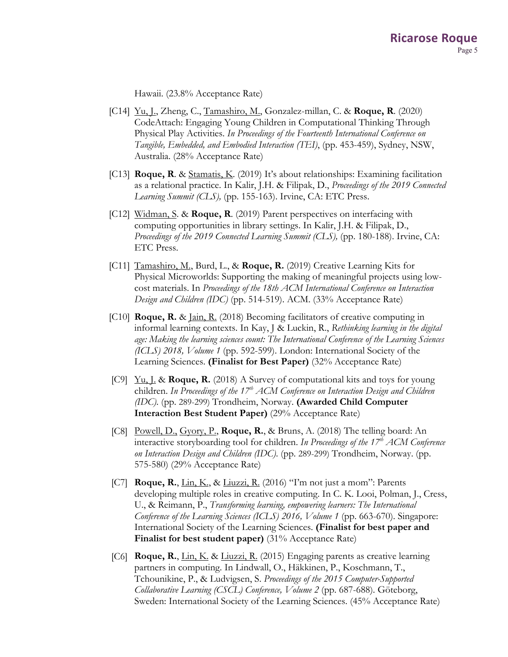Hawaii. (23.8% Acceptance Rate)

- [C14] Yu, J., Zheng, C., Tamashiro, M., Gonzalez-millan, C. & **Roque, R**. (2020) CodeAttach: Engaging Young Children in Computational Thinking Through Physical Play Activities. *In Proceedings of the Fourteenth International Conference on Tangible, Embedded, and Embodied Interaction (TEI)*, (pp. 453-459), Sydney, NSW, Australia. (28% Acceptance Rate)
- [C13] **Roque, R**. & Stamatis, K. (2019) It's about relationships: Examining facilitation as a relational practice. In Kalir, J.H. & Filipak, D., *Proceedings of the 2019 Connected Learning Summit (CLS),* (pp. 155-163). Irvine, CA: ETC Press.
- [C12] Widman, S. & **Roque, R**. (2019) Parent perspectives on interfacing with computing opportunities in library settings. In Kalir, J.H. & Filipak, D., *Proceedings of the 2019 Connected Learning Summit (CLS),* (pp. 180-188). Irvine, CA: ETC Press.
- [C11] Tamashiro, M., Burd, L., & **Roque, R.** (2019) Creative Learning Kits for Physical Microworlds: Supporting the making of meaningful projects using lowcost materials. In *Proceedings of the 18th ACM International Conference on Interaction Design and Children (IDC)* (pp. 514-519). ACM. (33% Acceptance Rate)
- [C10] **Roque, R.** & Jain, R. (2018) Becoming facilitators of creative computing in informal learning contexts. In Kay, J & Luckin, R., *Rethinking learning in the digital age: Making the learning sciences count: The International Conference of the Learning Sciences (ICLS) 2018, Volume 1* (pp. 592-599). London: International Society of the Learning Sciences. **(Finalist for Best Paper)** (32% Acceptance Rate)
- [C9] Yu, J. & **Roque, R.** (2018) A Survey of computational kits and toys for young children. In Proceedings of the 17<sup>th</sup> ACM Conference on Interaction Design and Children *(IDC)*. (pp. 289-299) Trondheim, Norway. **(Awarded Child Computer Interaction Best Student Paper)** (29% Acceptance Rate)
- [C8] Powell, D., Gyory, P., **Roque, R.**, & Bruns, A. (2018) The telling board: An interactive storyboarding tool for children. *In Proceedings of the 17th ACM Conference on Interaction Design and Children (IDC)*. (pp. 289-299) Trondheim, Norway. (pp. 575-580) (29% Acceptance Rate)
- [C7] **Roque, R.**, Lin, K., & Liuzzi, R. (2016) "I'm not just a mom": Parents developing multiple roles in creative computing. In C. K. Looi, Polman, J., Cress, U., & Reimann, P., *Transforming learning, empowering learners: The International Conference of the Learning Sciences (ICLS) 2016, Volume 1* (pp. 663-670). Singapore: International Society of the Learning Sciences. **(Finalist for best paper and Finalist for best student paper)** (31% Acceptance Rate)
- [C6] **Roque, R.**, Lin, K. & Liuzzi, R. (2015) Engaging parents as creative learning partners in computing. In Lindwall, O., Häkkinen, P., Koschmann, T., Tchounikine, P., & Ludvigsen, S. *Proceedings of the 2015 Computer-Supported Collaborative Learning (CSCL) Conference, Volume 2* (pp. 687-688)*.* Göteborg, Sweden: International Society of the Learning Sciences. (45% Acceptance Rate)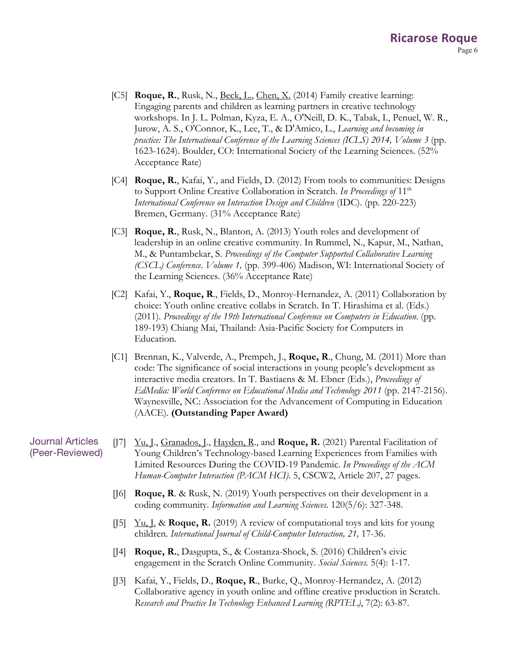- [C5] **Roque, R.**, Rusk, N., Beck, L., Chen, X. (2014) Family creative learning: Engaging parents and children as learning partners in creative technology workshops. In J. L. Polman, Kyza, E. A., O'Neill, D. K., Tabak, I., Penuel, W. R., Jurow, A. S., O'Connor, K., Lee, T., & D'Amico, L., *Learning and becoming in practice: The International Conference of the Learning Sciences (ICLS) 2014, Volume 3* (pp. 1623-1624). Boulder, CO: International Society of the Learning Sciences. (52% Acceptance Rate)
- [C4] **Roque, R.**, Kafai, Y., and Fields, D. (2012) From tools to communities: Designs to Support Online Creative Collaboration in Scratch. *In Proceedings of* 11th *International Conference on Interaction Design and Children* (IDC). (pp. 220-223) Bremen, Germany. (31% Acceptance Rate)
- [C3] **Roque, R.**, Rusk, N., Blanton, A. (2013) Youth roles and development of leadership in an online creative community. In Rummel, N., Kapur, M., Nathan, M., & Puntambekar, S. *Proceedings of the Computer Supported Collaborative Learning (CSCL) Conference. Volume 1,* (pp. 399-406) Madison, WI: International Society of the Learning Sciences. (36% Acceptance Rate)
- [C2] Kafai, Y., **Roque, R**., Fields, D., Monroy-Hernandez, A. (2011) Collaboration by choice: Youth online creative collabs in Scratch. In T. Hirashima et al. (Eds.) (2011). *Proceedings of the 19th International Conference on Computers in Education*. (pp. 189-193) Chiang Mai, Thailand: Asia-Pacific Society for Computers in Education.
- [C1] Brennan, K., Valverde, A., Prempeh, J., **Roque, R**., Chung, M. (2011) More than code: The significance of social interactions in young people's development as interactive media creators. In T. Bastiaens & M. Ebner (Eds.), *Proceedings of EdMedia: World Conference on Educational Media and Technology 2011* (pp. 2147-2156). Waynesville, NC: Association for the Advancement of Computing in Education (AACE). **(Outstanding Paper Award)**

Journal Articles (Peer-Reviewed) [J7] Yu, J., Granados, J., Hayden, R., and **Roque, R.** (2021) Parental Facilitation of Young Children's Technology-based Learning Experiences from Families with Limited Resources During the COVID-19 Pandemic. *In Proceedings of the ACM Human-Computer Interaction (PACM HCI)*. 5, CSCW2, Article 207, 27 pages.

- [J6] **Roque, R**. & Rusk, N. (2019) Youth perspectives on their development in a coding community. *Information and Learning Sciences.* 120(5/6): 327-348.
- [J5] Yu, J. & **Roque, R.** (2019) A review of computational toys and kits for young children. *International Journal of Child-Computer Interaction, 21,* 17-36.
- [J4] **Roque, R.**, Dasgupta, S., & Costanza-Shock, S. (2016) Children's civic engagement in the Scratch Online Community. *Social Sciences.* 5(4): 1-17.
- [J3] Kafai, Y., Fields, D., **Roque, R**., Burke, Q., Monroy-Hernandez, A. (2012) Collaborative agency in youth online and offline creative production in Scratch. *Research and Practice In Technology Enhanced Learning (RPTEL)*, 7(2): 63-87.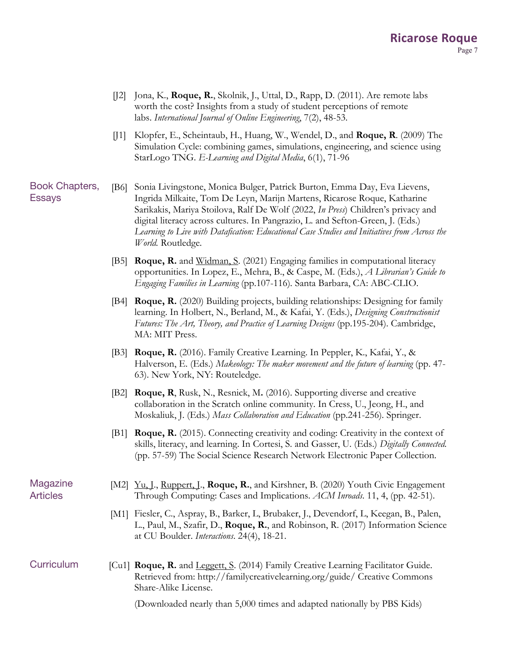- [J2] Jona, K., **Roque, R.**, Skolnik, J., Uttal, D., Rapp, D. (2011). Are remote labs worth the cost? Insights from a study of student perceptions of remote labs. *International Journal of Online Engineering*, 7(2), 48-53.
- [J1] Klopfer, E., Scheintaub, H., Huang, W., Wendel, D., and **Roque, R**. (2009) The Simulation Cycle: combining games, simulations, engineering, and science using StarLogo TNG. *E-Learning and Digital Media*, 6(1), 71-96

Book Chapters, Essays [B6] Sonia Livingstone, Monica Bulger, Patrick Burton, Emma Day, Eva Lievens, Ingrida Milkaite, Tom De Leyn, Marijn Martens, Ricarose Roque, Katharine Sarikakis, Mariya Stoilova, Ralf De Wolf (2022, *In Press*) Children's privacy and digital literacy across cultures. In Pangrazio, L. and Sefton-Green, J. (Eds.) *Learning to Live with Datafication: Educational Case Studies and Initiatives from Across the World.* Routledge*.*

- [B5] **Roque, R.** and Widman, S. (2021) Engaging families in computational literacy opportunities. In Lopez, E., Mehra, B., & Caspe, M. (Eds.), *A Librarian's Guide to Engaging Families in Learning* (pp.107-116)*.* Santa Barbara, CA: ABC-CLIO.
- [B4] **Roque, R.** (2020) Building projects, building relationships: Designing for family learning. In Holbert, N., Berland, M., & Kafai, Y. (Eds.), *Designing Constructionist Futures: The Art, Theory, and Practice of Learning Designs* (pp.195-204). Cambridge, MA: MIT Press.
- [B3] **Roque, R.** (2016). Family Creative Learning. In Peppler, K., Kafai, Y., & Halverson, E. (Eds.) *Makeology: The maker movement and the future of learning* (pp. 47- 63). New York, NY: Routeledge.
- [B2] **Roque, R**, Rusk, N., Resnick, M**.** (2016). Supporting diverse and creative collaboration in the Scratch online community. In Cress, U., Jeong, H., and Moskaliuk, J. (Eds.) *Mass Collaboration and Education* (pp.241-256)*.* Springer.
- [B1] **Roque, R.** (2015). Connecting creativity and coding: Creativity in the context of skills, literacy, and learning. In Cortesi, S. and Gasser, U. (Eds.) *Digitally Connected.*  (pp. 57-59) The Social Science Research Network Electronic Paper Collection.

Magazine Articles

- [M2] <u>Yu, J., Ruppert, J</u>., **Roque, R.**, and Kirshner, B. (2020) Youth Civic Engagement Through Computing: Cases and Implications. *ACM Inroads*. 11, 4, (pp. 42-51).
- [M1] Fiesler, C., Aspray, B., Barker, L, Brubaker, J., Devendorf, L, Keegan, B., Palen, L., Paul, M., Szafir, D., **Roque, R.**, and Robinson, R. (2017) Information Science at CU Boulder. *Interactions*. 24(4), 18-21.

Curriculum [Cu1] **Roque, R.** and Leggett, S. (2014) Family Creative Learning Facilitator Guide. Retrieved from: http://familycreativelearning.org/guide/ Creative Commons Share-Alike License.

(Downloaded nearly than 5,000 times and adapted nationally by PBS Kids)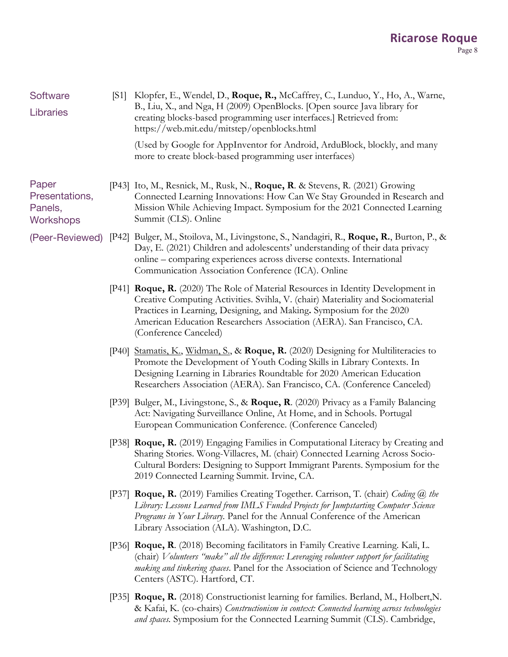## **Ricarose Roque** Page 8

| Software<br><b>Libraries</b>                           |       | [S1] Klopfer, E., Wendel, D., Roque, R., McCaffrey, C., Lunduo, Y., Ho, A., Warne,<br>B., Liu, X., and Nga, H (2009) OpenBlocks. [Open source Java library for<br>creating blocks-based programming user interfaces.] Retrieved from:<br>https://web.mit.edu/mitstep/openblocks.html                                                                 |
|--------------------------------------------------------|-------|------------------------------------------------------------------------------------------------------------------------------------------------------------------------------------------------------------------------------------------------------------------------------------------------------------------------------------------------------|
|                                                        |       | (Used by Google for AppInventor for Android, ArduBlock, blockly, and many<br>more to create block-based programming user interfaces)                                                                                                                                                                                                                 |
| Paper<br>Presentations,<br>Panels,<br><b>Workshops</b> |       | [P43] Ito, M., Resnick, M., Rusk, N., Roque, R. & Stevens, R. (2021) Growing<br>Connected Learning Innovations: How Can We Stay Grounded in Research and<br>Mission While Achieving Impact. Symposium for the 2021 Connected Learning<br>Summit (CLS). Online                                                                                        |
| (Peer-Reviewed)                                        |       | [P42] Bulger, M., Stoilova, M., Livingstone, S., Nandagiri, R., Roque, R., Burton, P., &<br>Day, E. (2021) Children and adolescents' understanding of their data privacy<br>online - comparing experiences across diverse contexts. International<br>Communication Association Conference (ICA). Online                                              |
|                                                        |       | [P41] <b>Roque, R.</b> (2020) The Role of Material Resources in Identity Development in<br>Creative Computing Activities. Svihla, V. (chair) Materiality and Sociomaterial<br>Practices in Learning, Designing, and Making. Symposium for the 2020<br>American Education Researchers Association (AERA). San Francisco, CA.<br>(Conference Canceled) |
|                                                        | [P40] | Stamatis, K., Widman, S., & Roque, R. (2020) Designing for Multiliteracies to<br>Promote the Development of Youth Coding Skills in Library Contexts. In<br>Designing Learning in Libraries Roundtable for 2020 American Education<br>Researchers Association (AERA). San Francisco, CA. (Conference Canceled)                                        |
|                                                        |       | [P39] Bulger, M., Livingstone, S., & Roque, R. (2020) Privacy as a Family Balancing<br>Act: Navigating Surveillance Online, At Home, and in Schools. Portugal<br>European Communication Conference. (Conference Canceled)                                                                                                                            |
|                                                        |       | [P38] Roque, R. (2019) Engaging Families in Computational Literacy by Creating and<br>Sharing Stories. Wong-Villacres, M. (chair) Connected Learning Across Socio-<br>Cultural Borders: Designing to Support Immigrant Parents. Symposium for the<br>2019 Connected Learning Summit. Irvine, CA.                                                     |
|                                                        |       | [P37] Roque, R. (2019) Families Creating Together. Carrison, T. (chair) Coding @ the<br>Library: Lessons Learned from IMLS Funded Projects for Jumpstarting Computer Science<br>Programs in Your Library. Panel for the Annual Conference of the American<br>Library Association (ALA). Washington, D.C.                                             |
|                                                        |       | [P36] Roque, R. (2018) Becoming facilitators in Family Creative Learning. Kali, L.<br>(chair) Volunteers "make" all the difference: Leveraging volunteer support for facilitating<br>making and tinkering spaces. Panel for the Association of Science and Technology<br>Centers (ASTC). Hartford, CT.                                               |
|                                                        |       | [P35] Roque, R. (2018) Constructionist learning for families. Berland, M., Holbert, N.<br>& Kafai, K. (co-chairs) Constructionism in context: Connected learning across technologies<br>and spaces. Symposium for the Connected Learning Summit (CLS). Cambridge,                                                                                    |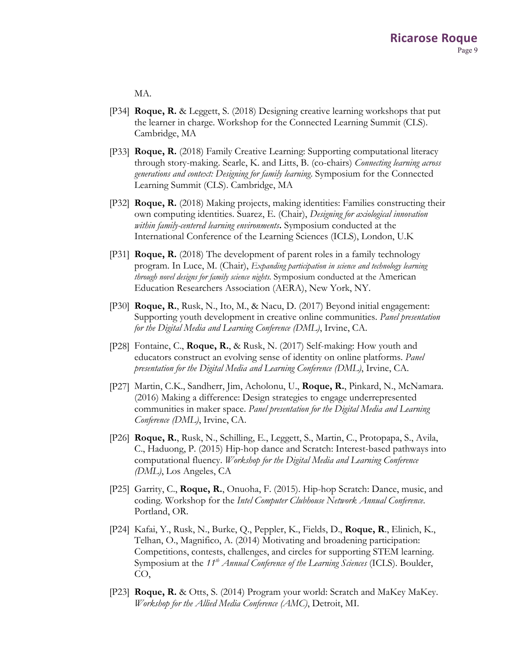MA.

- [P34] **Roque, R.** & Leggett, S. (2018) Designing creative learning workshops that put the learner in charge. Workshop for the Connected Learning Summit (CLS). Cambridge, MA
- [P33] **Roque, R.** (2018) Family Creative Learning: Supporting computational literacy through story-making. Searle, K. and Litts, B. (co-chairs) *Connecting learning across generations and context: Designing for family learning*. Symposium for the Connected Learning Summit (CLS). Cambridge, MA
- [P32] **Roque, R.** (2018) Making projects, making identities: Families constructing their own computing identities. Suarez, E. (Chair), *Designing for axiological innovation within family-centered learning environments***.** Symposium conducted at the International Conference of the Learning Sciences (ICLS), London, U.K
- [P31] **Roque, R.** (2018) The development of parent roles in a family technology program. In Luce, M. (Chair), *Expanding participation in science and technology learning through novel designs for family science nights.* Symposium conducted at the American Education Researchers Association (AERA), New York, NY.
- [P30] **Roque, R.**, Rusk, N., Ito, M., & Nacu, D. (2017) Beyond initial engagement: Supporting youth development in creative online communities. *Panel presentation for the Digital Media and Learning Conference (DML)*, Irvine, CA.
- [P28] Fontaine, C., **Roque, R.**, & Rusk, N. (2017) Self-making: How youth and educators construct an evolving sense of identity on online platforms. *Panel presentation for the Digital Media and Learning Conference (DML)*, Irvine, CA.
- [P27] Martin, C.K., Sandherr, Jim, Acholonu, U., **Roque, R.**, Pinkard, N., McNamara. (2016) Making a difference: Design strategies to engage underrepresented communities in maker space. *Panel presentation for the Digital Media and Learning Conference (DML)*, Irvine, CA.
- [P26] **Roque, R.**, Rusk, N., Schilling, E., Leggett, S., Martin, C., Protopapa, S., Avila, C., Haduong, P. (2015) Hip-hop dance and Scratch: Interest-based pathways into computational fluency. *Workshop for the Digital Media and Learning Conference (DML)*, Los Angeles, CA
- [P25] Garrity, C., **Roque, R.**, Onuoha, F. (2015). Hip-hop Scratch: Dance, music, and coding. Workshop for the *Intel Computer Clubhouse Network Annual Conference*. Portland, OR.
- [P24] Kafai, Y., Rusk, N., Burke, Q., Peppler, K., Fields, D., **Roque, R**., Elinich, K., Telhan, O., Magnifico, A. (2014) Motivating and broadening participation: Competitions, contests, challenges, and circles for supporting STEM learning. Symposium at the 11<sup>th</sup> *Annual Conference of the Learning Sciences* (ICLS). Boulder, CO,
- [P23] **Roque, R.** & Otts, S. (2014) Program your world: Scratch and MaKey MaKey. *Workshop for the Allied Media Conference (AMC)*, Detroit, MI.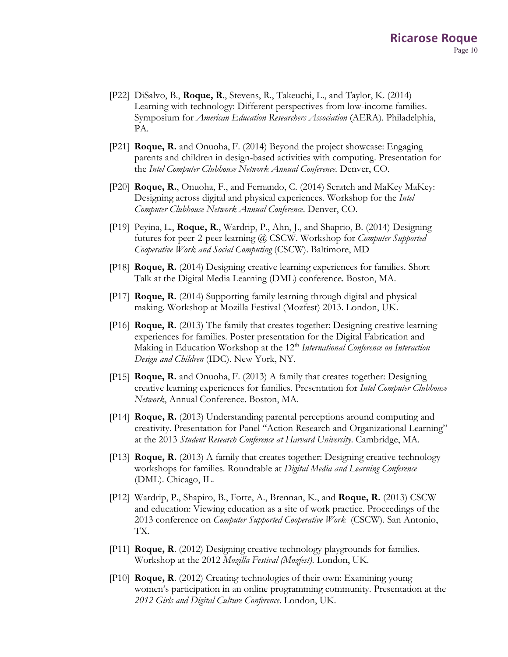- [P22] DiSalvo, B., **Roque, R**., Stevens, R., Takeuchi, L., and Taylor, K. (2014) Learning with technology: Different perspectives from low-income families. Symposium for *American Education Researchers Association* (AERA). Philadelphia, PA.
- [P21] **Roque, R.** and Onuoha, F. (2014) Beyond the project showcase: Engaging parents and children in design-based activities with computing. Presentation for the *Intel Computer Clubhouse Network Annual Conference*. Denver, CO.
- [P20] **Roque, R.**, Onuoha, F., and Fernando, C. (2014) Scratch and MaKey MaKey: Designing across digital and physical experiences. Workshop for the *Intel Computer Clubhouse Network Annual Conference*. Denver, CO.
- [P19] Peyina, L., **Roque, R**., Wardrip, P., Ahn, J., and Shaprio, B. (2014) Designing futures for peer-2-peer learning @ CSCW. Workshop for *Computer Supported Cooperative Work and Social Computing* (CSCW). Baltimore, MD
- [P18] **Roque, R.** (2014) Designing creative learning experiences for families. Short Talk at the Digital Media Learning (DML) conference. Boston, MA.
- [P17] **Roque, R.** (2014) Supporting family learning through digital and physical making. Workshop at Mozilla Festival (Mozfest) 2013. London, UK.
- [P16] **Roque, R.** (2013) The family that creates together: Designing creative learning experiences for families. Poster presentation for the Digital Fabrication and Making in Education Workshop at the 12<sup>th</sup> *International Conference on Interaction Design and Children* (IDC). New York, NY.
- [P15] **Roque, R.** and Onuoha, F. (2013) A family that creates together: Designing creative learning experiences for families. Presentation for *Intel Computer Clubhouse Network*, Annual Conference. Boston, MA.
- [P14] **Roque, R.** (2013) Understanding parental perceptions around computing and creativity. Presentation for Panel "Action Research and Organizational Learning" at the 2013 *Student Research Conference at Harvard University*. Cambridge, MA.
- [P13] **Roque, R.** (2013) A family that creates together: Designing creative technology workshops for families. Roundtable at *Digital Media and Learning Conference* (DML). Chicago, IL.
- [P12] Wardrip, P., Shapiro, B., Forte, A., Brennan, K., and **Roque, R.** (2013) CSCW and education: Viewing education as a site of work practice. Proceedings of the 2013 conference on *Computer Supported Cooperative Work* (CSCW). San Antonio, TX.
- [P11] **Roque, R**. (2012) Designing creative technology playgrounds for families. Workshop at the 2012 *Mozilla Festival (Mozfest)*. London, UK.
- [P10] **Roque, R**. (2012) Creating technologies of their own: Examining young women's participation in an online programming community. Presentation at the *2012 Girls and Digital Culture Conference*. London, UK.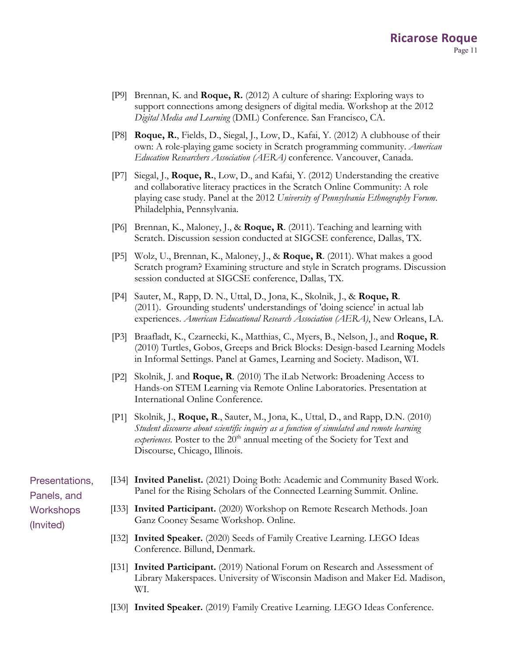- [P9] Brennan, K. and **Roque, R.** (2012) A culture of sharing: Exploring ways to support connections among designers of digital media. Workshop at the 2012 *Digital Media and Learning* (DML) Conference. San Francisco, CA.
- [P8] **Roque, R.**, Fields, D., Siegal, J., Low, D., Kafai, Y. (2012) A clubhouse of their own: A role-playing game society in Scratch programming community. *American Education Researchers Association (AERA)* conference. Vancouver, Canada.
- [P7] Siegal, J., **Roque, R.**, Low, D., and Kafai, Y. (2012) Understanding the creative and collaborative literacy practices in the Scratch Online Community: A role playing case study. Panel at the 2012 *University of Pennsylvania Ethnography Forum*. Philadelphia, Pennsylvania.
- [P6] Brennan, K., Maloney, J., & **Roque, R**. (2011). Teaching and learning with Scratch. Discussion session conducted at SIGCSE conference, Dallas, TX.
- [P5] Wolz, U., Brennan, K., Maloney, J., & **Roque, R**. (2011). What makes a good Scratch program? Examining structure and style in Scratch programs. Discussion session conducted at SIGCSE conference, Dallas, TX.
- [P4] Sauter, M., Rapp, D. N., Uttal, D., Jona, K., Skolnik, J., & **Roque, R**. (2011). Grounding students' understandings of 'doing science' in actual lab experiences. *American Educational Research Association (AERA)*, New Orleans, LA.
- [P3] Braafladt, K., Czarnecki, K., Matthias, C., Myers, B., Nelson, J., and **Roque, R**. (2010) Turtles, Gobos, Greeps and Brick Blocks: Design-based Learning Models in Informal Settings. Panel at Games, Learning and Society. Madison, WI.
- [P2] Skolnik, J. and **Roque, R**. (2010) The iLab Network: Broadening Access to Hands-on STEM Learning via Remote Online Laboratories. Presentation at International Online Conference.
- [P1] Skolnik, J., **Roque, R**., Sauter, M., Jona, K., Uttal, D., and Rapp, D.N. (2010) *Student discourse about scientific inquiry as a function of simulated and remote learning experiences.* Poster to the 20<sup>th</sup> annual meeting of the Society for Text and Discourse, Chicago, Illinois.

Presentations, Panels, and **Workshops** (Invited)

- [I34] **Invited Panelist.** (2021) Doing Both: Academic and Community Based Work. Panel for the Rising Scholars of the Connected Learning Summit. Online.
	- [I33] **Invited Participant.** (2020) Workshop on Remote Research Methods. Joan Ganz Cooney Sesame Workshop. Online.
	- [I32] **Invited Speaker.** (2020) Seeds of Family Creative Learning. LEGO Ideas Conference. Billund, Denmark.
	- [I31] **Invited Participant.** (2019) National Forum on Research and Assessment of Library Makerspaces. University of Wisconsin Madison and Maker Ed. Madison, WI.
	- [I30] **Invited Speaker.** (2019) Family Creative Learning. LEGO Ideas Conference.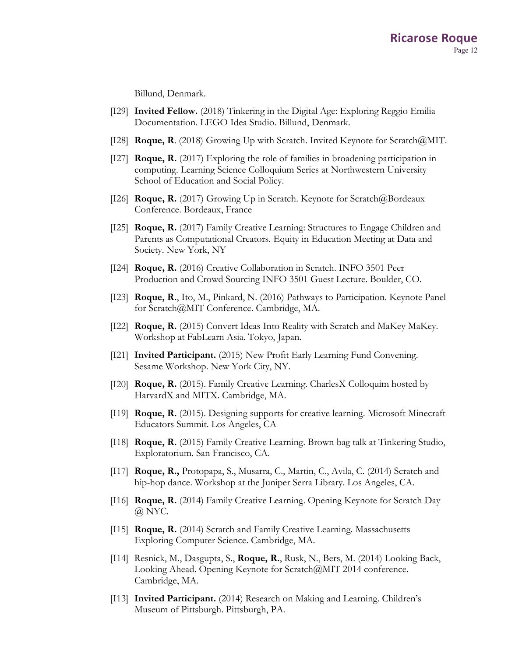Billund, Denmark.

- [I29] **Invited Fellow.** (2018) Tinkering in the Digital Age: Exploring Reggio Emilia Documentation. LEGO Idea Studio. Billund, Denmark.
- [I28] **Roque, R**. (2018) Growing Up with Scratch. Invited Keynote for Scratch@MIT.
- [I27] **Roque, R.** (2017) Exploring the role of families in broadening participation in computing. Learning Science Colloquium Series at Northwestern University School of Education and Social Policy.
- [I26] **Roque, R.** (2017) Growing Up in Scratch. Keynote for Scratch@Bordeaux Conference. Bordeaux, France
- [I25] **Roque, R.** (2017) Family Creative Learning: Structures to Engage Children and Parents as Computational Creators. Equity in Education Meeting at Data and Society. New York, NY
- [I24] **Roque, R.** (2016) Creative Collaboration in Scratch. INFO 3501 Peer Production and Crowd Sourcing INFO 3501 Guest Lecture. Boulder, CO.
- [I23] **Roque, R.**, Ito, M., Pinkard, N. (2016) Pathways to Participation. Keynote Panel for Scratch@MIT Conference. Cambridge, MA.
- [I22] **Roque, R.** (2015) Convert Ideas Into Reality with Scratch and MaKey MaKey. Workshop at FabLearn Asia. Tokyo, Japan.
- [I21] **Invited Participant.** (2015) New Profit Early Learning Fund Convening. Sesame Workshop. New York City, NY.
- [I20] **Roque, R.** (2015). Family Creative Learning. CharlesX Colloquim hosted by HarvardX and MITX. Cambridge, MA.
- [I19] **Roque, R.** (2015). Designing supports for creative learning. Microsoft Minecraft Educators Summit. Los Angeles, CA
- [I18] **Roque, R.** (2015) Family Creative Learning. Brown bag talk at Tinkering Studio, Exploratorium. San Francisco, CA.
- [I17] **Roque, R.,** Protopapa, S., Musarra, C., Martin, C., Avila, C. (2014) Scratch and hip-hop dance. Workshop at the Juniper Serra Library. Los Angeles, CA.
- [I16] **Roque, R.** (2014) Family Creative Learning. Opening Keynote for Scratch Day @ NYC.
- [I15] **Roque, R.** (2014) Scratch and Family Creative Learning. Massachusetts Exploring Computer Science. Cambridge, MA.
- [I14] Resnick, M., Dasgupta, S., **Roque, R.**, Rusk, N., Bers, M. (2014) Looking Back, Looking Ahead. Opening Keynote for Scratch@MIT 2014 conference. Cambridge, MA.
- [I13] **Invited Participant.** (2014) Research on Making and Learning. Children's Museum of Pittsburgh. Pittsburgh, PA.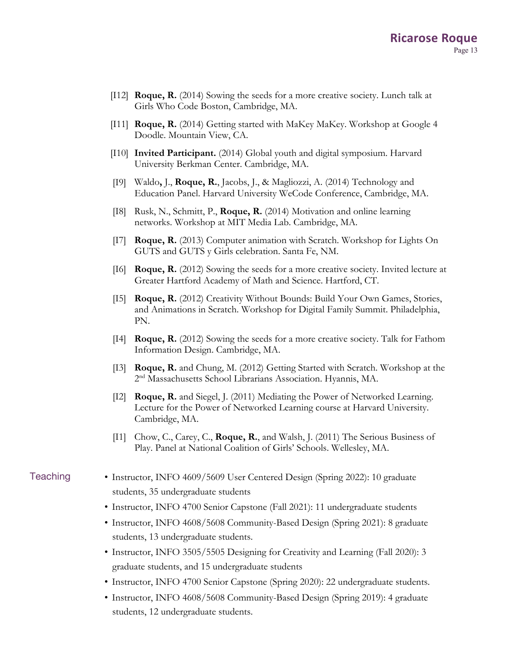- [I12] **Roque, R.** (2014) Sowing the seeds for a more creative society. Lunch talk at Girls Who Code Boston, Cambridge, MA.
- [I11] **Roque, R.** (2014) Getting started with MaKey MaKey. Workshop at Google 4 Doodle. Mountain View, CA.
- [I10] **Invited Participant.** (2014) Global youth and digital symposium. Harvard University Berkman Center. Cambridge, MA.
- [I9] Waldo**,** J., **Roque, R.**, Jacobs, J., & Magliozzi, A. (2014) Technology and Education Panel. Harvard University WeCode Conference, Cambridge, MA.
- [I8] Rusk, N., Schmitt, P., **Roque, R.** (2014) Motivation and online learning networks. Workshop at MIT Media Lab. Cambridge, MA.
- [I7] **Roque, R.** (2013) Computer animation with Scratch. Workshop for Lights On GUTS and GUTS y Girls celebration. Santa Fe, NM.
- [I6] **Roque, R.** (2012) Sowing the seeds for a more creative society. Invited lecture at Greater Hartford Academy of Math and Science. Hartford, CT.
- [I5] **Roque, R.** (2012) Creativity Without Bounds: Build Your Own Games, Stories, and Animations in Scratch. Workshop for Digital Family Summit. Philadelphia, PN.
- [I4] **Roque, R.** (2012) Sowing the seeds for a more creative society. Talk for Fathom Information Design. Cambridge, MA.
- [I3] **Roque, R.** and Chung, M. (2012) Getting Started with Scratch. Workshop at the 2<sup>nd</sup> Massachusetts School Librarians Association. Hyannis, MA.
- [I2] **Roque, R.** and Siegel, J. (2011) Mediating the Power of Networked Learning. Lecture for the Power of Networked Learning course at Harvard University. Cambridge, MA.
- [I1] Chow, C., Carey, C., **Roque, R.**, and Walsh, J. (2011) The Serious Business of Play. Panel at National Coalition of Girls' Schools. Wellesley, MA.
- Teaching Instructor, INFO 4609/5609 User Centered Design (Spring 2022): 10 graduate students, 35 undergraduate students
	- Instructor, INFO 4700 Senior Capstone (Fall 2021): 11 undergraduate students
	- Instructor, INFO 4608/5608 Community-Based Design (Spring 2021): 8 graduate students, 13 undergraduate students.
	- Instructor, INFO 3505/5505 Designing for Creativity and Learning (Fall 2020): 3 graduate students, and 15 undergraduate students
	- Instructor, INFO 4700 Senior Capstone (Spring 2020): 22 undergraduate students.
	- Instructor, INFO 4608/5608 Community-Based Design (Spring 2019): 4 graduate students, 12 undergraduate students.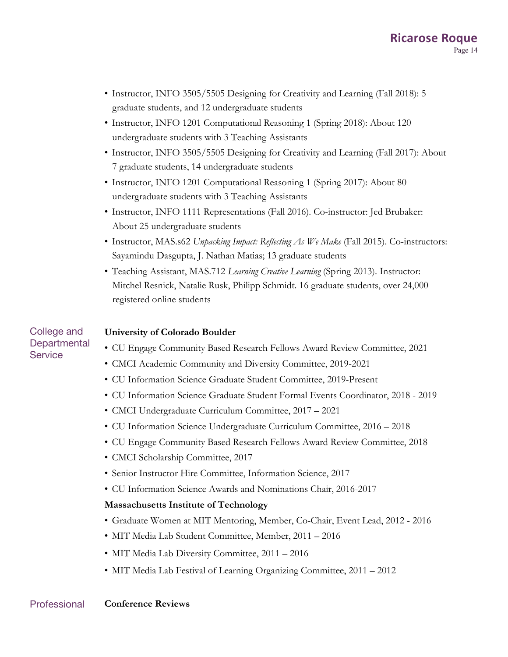- Instructor, INFO 3505/5505 Designing for Creativity and Learning (Fall 2018): 5 graduate students, and 12 undergraduate students
- Instructor, INFO 1201 Computational Reasoning 1 (Spring 2018): About 120 undergraduate students with 3 Teaching Assistants
- Instructor, INFO 3505/5505 Designing for Creativity and Learning (Fall 2017): About 7 graduate students, 14 undergraduate students
- Instructor, INFO 1201 Computational Reasoning 1 (Spring 2017): About 80 undergraduate students with 3 Teaching Assistants
- Instructor, INFO 1111 Representations (Fall 2016). Co-instructor: Jed Brubaker: About 25 undergraduate students
- Instructor, MAS.s62 *Unpacking Impact: Reflecting As We Make* (Fall 2015). Co-instructors: Sayamindu Dasgupta, J. Nathan Matias; 13 graduate students
- Teaching Assistant, MAS.712 *Learning Creative Learning* (Spring 2013). Instructor: Mitchel Resnick, Natalie Rusk, Philipp Schmidt. 16 graduate students, over 24,000 registered online students

## College and **Departmental Service**

## **University of Colorado Boulder**

- CU Engage Community Based Research Fellows Award Review Committee, 2021
- CMCI Academic Community and Diversity Committee, 2019-2021
- CU Information Science Graduate Student Committee, 2019-Present
- CU Information Science Graduate Student Formal Events Coordinator, 2018 2019
- CMCI Undergraduate Curriculum Committee, 2017 2021
- CU Information Science Undergraduate Curriculum Committee, 2016 2018
- CU Engage Community Based Research Fellows Award Review Committee, 2018
- CMCI Scholarship Committee, 2017
- Senior Instructor Hire Committee, Information Science, 2017
- CU Information Science Awards and Nominations Chair, 2016-2017

## **Massachusetts Institute of Technology**

- Graduate Women at MIT Mentoring, Member, Co-Chair, Event Lead, 2012 2016
- MIT Media Lab Student Committee, Member, 2011 2016
- MIT Media Lab Diversity Committee, 2011 2016
- MIT Media Lab Festival of Learning Organizing Committee, 2011 2012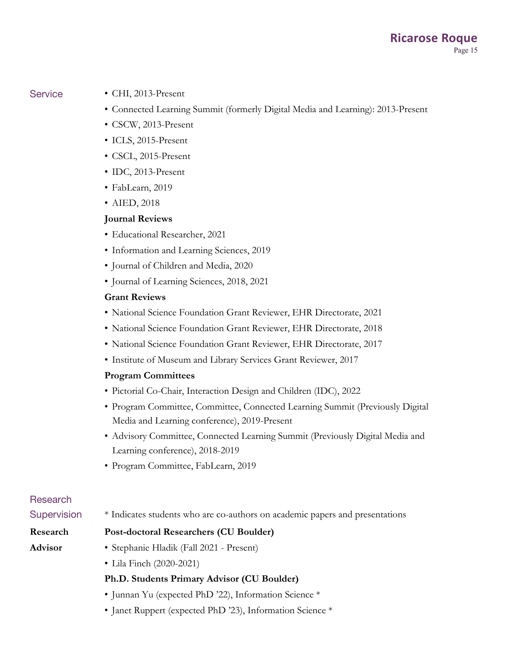- Service CHI, 2013-Present
	- Connected Learning Summit (formerly Digital Media and Learning): 2013-Present
	- CSCW, 2013-Present
	- ICLS, 2015-Present
	- CSCL, 2015-Present
	- IDC, 2013-Present
	- FabLearn, 2019
	- AIED, 2018

## **Journal Reviews**

- Educational Researcher, 2021
- Information and Learning Sciences, 2019
- Journal of Children and Media, 2020
- Journal of Learning Sciences, 2018, 2021

## **Grant Reviews**

- National Science Foundation Grant Reviewer, EHR Directorate, 2021
- National Science Foundation Grant Reviewer, EHR Directorate, 2018
- National Science Foundation Grant Reviewer, EHR Directorate, 2017
- Institute of Museum and Library Services Grant Reviewer, 2017

## **Program Committees**

- Pictorial Co-Chair, Interaction Design and Children (IDC), 2022
- Program Committee, Committee, Connected Learning Summit (Previously Digital Media and Learning conference), 2019-Present
- Advisory Committee, Connected Learning Summit (Previously Digital Media and Learning conference), 2018-2019
- Program Committee, FabLearn, 2019

# Research

## Supervision \* Indicates students who are co-authors on academic papers and presentations

## **Research**

## **Advisor**

- **Post-doctoral Researchers (CU Boulder)**
- Stephanie Hladik (Fall 2021 Present)
- Lila Finch (2020-2021)

## **Ph.D. Students Primary Advisor (CU Boulder)**

- Junnan Yu (expected PhD '22), Information Science \*
- Janet Ruppert (expected PhD '23), Information Science \*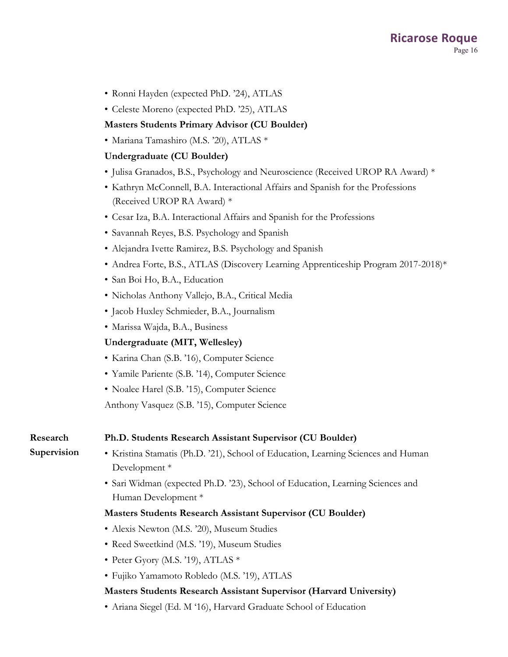- Ronni Hayden (expected PhD. '24), ATLAS
- Celeste Moreno (expected PhD. '25), ATLAS

## **Masters Students Primary Advisor (CU Boulder)**

• Mariana Tamashiro (M.S. '20), ATLAS \*

## **Undergraduate (CU Boulder)**

- Julisa Granados, B.S., Psychology and Neuroscience (Received UROP RA Award) \*
- Kathryn McConnell, B.A. Interactional Affairs and Spanish for the Professions (Received UROP RA Award) \*
- Cesar Iza, B.A. Interactional Affairs and Spanish for the Professions
- Savannah Reyes, B.S. Psychology and Spanish
- Alejandra Ivette Ramirez, B.S. Psychology and Spanish
- Andrea Forte, B.S., ATLAS (Discovery Learning Apprenticeship Program 2017-2018)\*
- San Boi Ho, B.A., Education
- Nicholas Anthony Vallejo, B.A., Critical Media
- Jacob Huxley Schmieder, B.A., Journalism
- Marissa Wajda, B.A., Business

## **Undergraduate (MIT, Wellesley)**

- Karina Chan (S.B. '16), Computer Science
- Yamile Pariente (S.B. '14), Computer Science
- Noalee Harel (S.B. '15), Computer Science

Anthony Vasquez (S.B. '15), Computer Science

### **Research Ph.D. Students Research Assistant Supervisor (CU Boulder)**

## **Supervision**

- Kristina Stamatis (Ph.D. '21), School of Education, Learning Sciences and Human Development \*
- Sari Widman (expected Ph.D. '23), School of Education, Learning Sciences and Human Development \*

## **Masters Students Research Assistant Supervisor (CU Boulder)**

- Alexis Newton (M.S. '20), Museum Studies
- Reed Sweetkind (M.S. '19), Museum Studies
- Peter Gyory (M.S. '19), ATLAS \*
- Fujiko Yamamoto Robledo (M.S. '19), ATLAS

## **Masters Students Research Assistant Supervisor (Harvard University)**

• Ariana Siegel (Ed. M '16), Harvard Graduate School of Education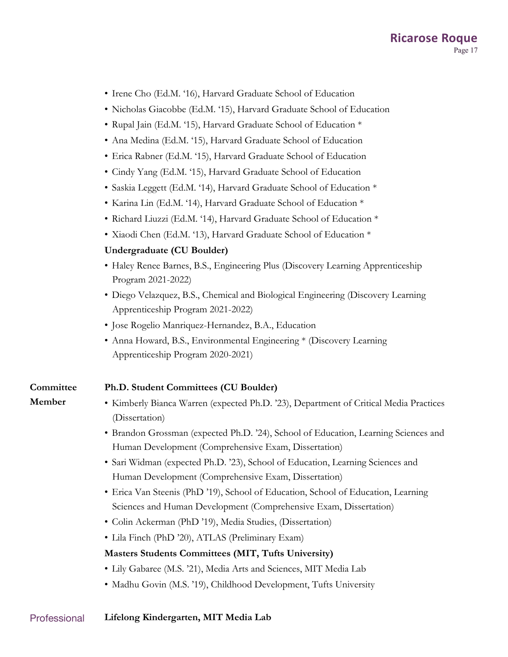- Irene Cho (Ed.M. '16), Harvard Graduate School of Education
- Nicholas Giacobbe (Ed.M. '15), Harvard Graduate School of Education
- Rupal Jain (Ed.M. '15), Harvard Graduate School of Education \*
- Ana Medina (Ed.M. '15), Harvard Graduate School of Education
- Erica Rabner (Ed.M. '15), Harvard Graduate School of Education
- Cindy Yang (Ed.M. '15), Harvard Graduate School of Education
- Saskia Leggett (Ed.M. '14), Harvard Graduate School of Education \*
- Karina Lin (Ed.M. '14), Harvard Graduate School of Education \*
- Richard Liuzzi (Ed.M. '14), Harvard Graduate School of Education \*
- Xiaodi Chen (Ed.M. '13), Harvard Graduate School of Education \*

## **Undergraduate (CU Boulder)**

- Haley Renee Barnes, B.S., Engineering Plus (Discovery Learning Apprenticeship Program 2021-2022)
- Diego Velazquez, B.S., Chemical and Biological Engineering (Discovery Learning Apprenticeship Program 2021-2022)
- Jose Rogelio Manriquez-Hernandez, B.A., Education
- Anna Howard, B.S., Environmental Engineering \* (Discovery Learning Apprenticeship Program 2020-2021)

### **Committee Ph.D. Student Committees (CU Boulder)**

**Member**

- Kimberly Bianca Warren (expected Ph.D. '23), Department of Critical Media Practices (Dissertation)
- Brandon Grossman (expected Ph.D. '24), School of Education, Learning Sciences and Human Development (Comprehensive Exam, Dissertation)
- Sari Widman (expected Ph.D. '23), School of Education, Learning Sciences and Human Development (Comprehensive Exam, Dissertation)
- Erica Van Steenis (PhD '19), School of Education, School of Education, Learning Sciences and Human Development (Comprehensive Exam, Dissertation)
- Colin Ackerman (PhD '19), Media Studies, (Dissertation)
- Lila Finch (PhD '20), ATLAS (Preliminary Exam)

## **Masters Students Committees (MIT, Tufts University)**

- Lily Gabaree (M.S. '21), Media Arts and Sciences, MIT Media Lab
- Madhu Govin (M.S. '19), Childhood Development, Tufts University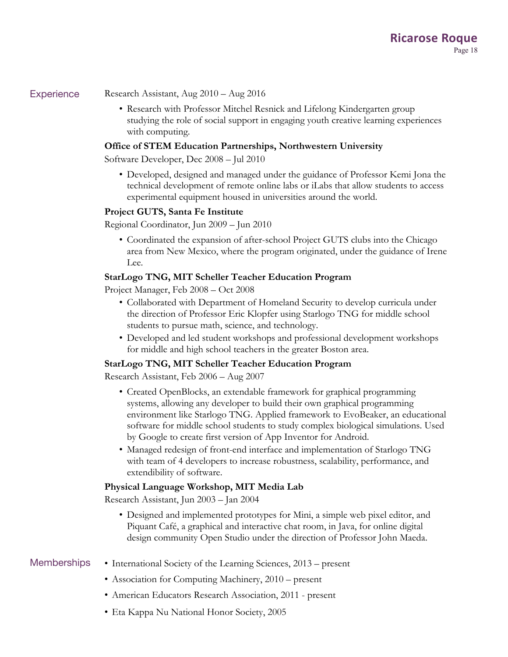- Experience Research Assistant, Aug 2010 Aug 2016
	- Research with Professor Mitchel Resnick and Lifelong Kindergarten group studying the role of social support in engaging youth creative learning experiences with computing.

## **Office of STEM Education Partnerships, Northwestern University**

Software Developer, Dec 2008 – Jul 2010

• Developed, designed and managed under the guidance of Professor Kemi Jona the technical development of remote online labs or iLabs that allow students to access experimental equipment housed in universities around the world.

## **Project GUTS, Santa Fe Institute**

Regional Coordinator, Jun 2009 – Jun 2010

• Coordinated the expansion of after-school Project GUTS clubs into the Chicago area from New Mexico, where the program originated, under the guidance of Irene Lee.

## **StarLogo TNG, MIT Scheller Teacher Education Program**

Project Manager, Feb 2008 – Oct 2008

- Collaborated with Department of Homeland Security to develop curricula under the direction of Professor Eric Klopfer using Starlogo TNG for middle school students to pursue math, science, and technology.
- Developed and led student workshops and professional development workshops for middle and high school teachers in the greater Boston area.

## **StarLogo TNG, MIT Scheller Teacher Education Program**

Research Assistant, Feb 2006 – Aug 2007

- Created OpenBlocks, an extendable framework for graphical programming systems, allowing any developer to build their own graphical programming environment like Starlogo TNG. Applied framework to EvoBeaker, an educational software for middle school students to study complex biological simulations. Used by Google to create first version of App Inventor for Android.
- Managed redesign of front-end interface and implementation of Starlogo TNG with team of 4 developers to increase robustness, scalability, performance, and extendibility of software.

## **Physical Language Workshop, MIT Media Lab**

Research Assistant, Jun 2003 – Jan 2004

• Designed and implemented prototypes for Mini, a simple web pixel editor, and Piquant Café, a graphical and interactive chat room, in Java, for online digital design community Open Studio under the direction of Professor John Maeda.

- Memberships International Society of the Learning Sciences, 2013 present
	- Association for Computing Machinery, 2010 present
	- American Educators Research Association, 2011 present
	- Eta Kappa Nu National Honor Society, 2005